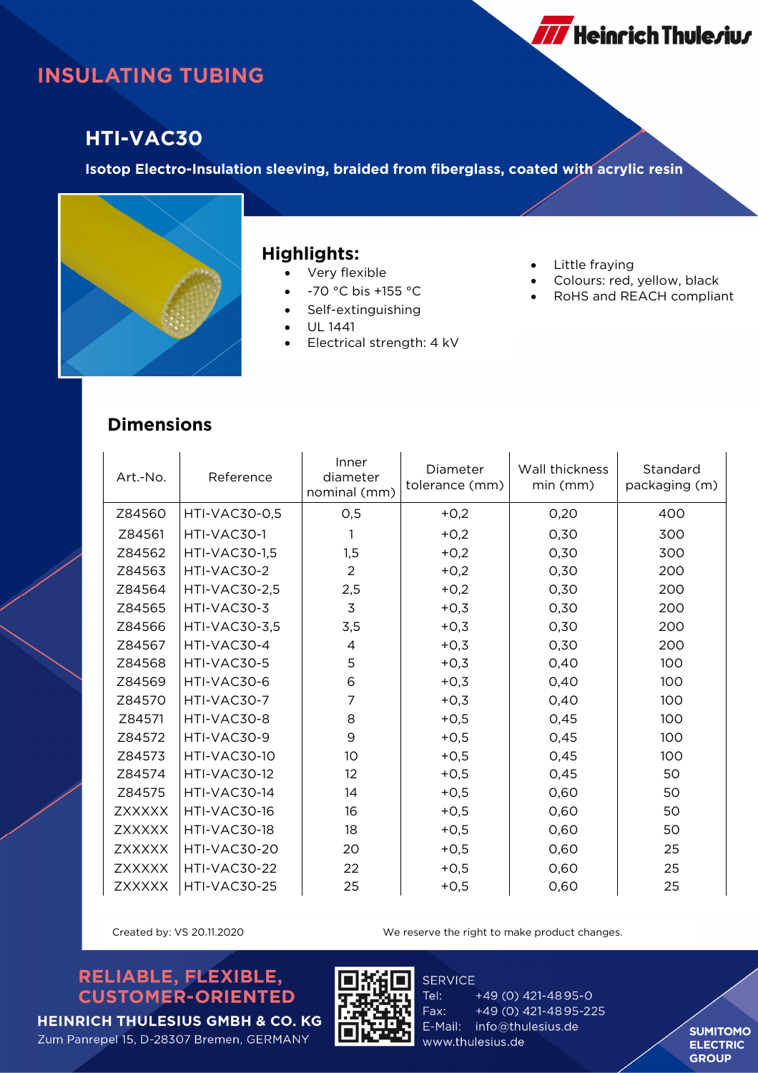# **INSULATING TUBING**

### **HTI-VAC30**

**Isotop Electro-Insulation sleeving, braided from fiberglass, coated with acrylic resin**



#### **Highlights:**

- Very flexible
- -70 °C bis +155 °C
- Self-extinguishing
- UL 1441
- Electrical strength: 4 kV
- Little fraying
- Colours: red, yellow, black
- RoHS and REACH compliant

**777** Heinrich Thule*r*iu*r* 

#### **Dimensions**

| Art.-No.      | Reference            | Inner<br>diameter<br>nominal (mm) | Diameter<br>tolerance (mm) | Wall thickness<br>min (mm) | Standard<br>packaging (m) |
|---------------|----------------------|-----------------------------------|----------------------------|----------------------------|---------------------------|
| Z84560        | <b>HTI-VAC30-0,5</b> | 0,5                               | $+0,2$                     | 0,20                       | 400                       |
| Z84561        | HTI-VAC30-1          | 1                                 | $+0,2$                     | 0,30                       | 300                       |
| Z84562        | <b>HTI-VAC30-1,5</b> | 1,5                               | $+0,2$                     | 0,30                       | 300                       |
| Z84563        | HTI-VAC30-2          | $\overline{2}$                    | $+0,2$                     | 0,30                       | 200                       |
| Z84564        | <b>HTI-VAC30-2,5</b> | 2,5                               | $+0,2$                     | 0,30                       | 200                       |
| Z84565        | HTI-VAC30-3          | 3                                 | $+0,3$                     | 0,30                       | 200                       |
| Z84566        | <b>HTI-VAC30-3,5</b> | 3,5                               | $+0,3$                     | 0,30                       | 200                       |
| Z84567        | HTI-VAC30-4          | 4                                 | $+0,3$                     | 0,30                       | 200                       |
| Z84568        | HTI-VAC30-5          | 5                                 | $+0,3$                     | 0,40                       | 100                       |
| Z84569        | HTI-VAC30-6          | 6                                 | $+0,3$                     | 0,40                       | 100                       |
| Z84570        | HTI-VAC30-7          | 7                                 | $+0,3$                     | 0,40                       | 100                       |
| Z84571        | HTI-VAC30-8          | 8                                 | $+0,5$                     | 0,45                       | 100                       |
| Z84572        | HTI-VAC30-9          | 9                                 | $+0,5$                     | 0,45                       | 100                       |
| Z84573        | HTI-VAC30-10         | 10                                | $+0,5$                     | 0,45                       | 100                       |
| Z84574        | HTI-VAC30-12         | 12                                | $+0,5$                     | 0,45                       | 50                        |
| Z84575        | HTI-VAC30-14         | 14                                | $+0,5$                     | 0,60                       | 50                        |
| <b>ZXXXXX</b> | HTI-VAC30-16         | 16                                | $+0,5$                     | 0,60                       | 50                        |
| <b>ZXXXXX</b> | HTI-VAC30-18         | 18                                | $+0,5$                     | 0,60                       | 50                        |
| <b>ZXXXXX</b> | HTI-VAC30-20         | 20                                | $+0,5$                     | 0,60                       | 25                        |
| <b>ZXXXXX</b> | HTI-VAC30-22         | 22                                | $+0,5$                     | 0,60                       | 25                        |
| <b>ZXXXXX</b> | HTI-VAC30-25         | 25                                | $+0,5$                     | 0,60                       | 25                        |

Created by: VS 20.11.2020 We reserve the right to make product changes.

#### RELIABLE, FLEXIBLE, **CUSTOMER-ORIENTED**



**SERVICE** 

+49 (0) 421-4895-0 Tel: Fax: +49 (0) 421-4895-225 E-Mail: info@thulesius.de www.thulesius.de

**SUMITOMO ELECTRIC GROUP**